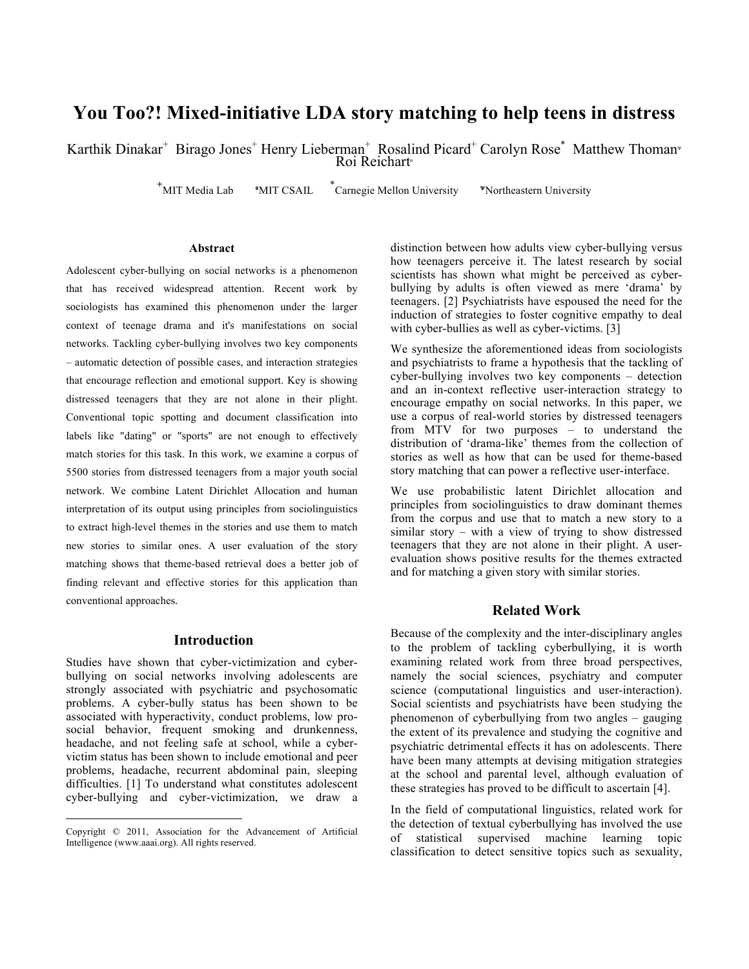# **You Too?! Mixed-initiative LDA story matching to help teens in distress**

Karthik Dinakar<sup>+</sup> Birago Jones<sup>+</sup> Henry Lieberman<sup>+</sup> Rosalind Picard<sup>+</sup> Carolyn Rose<sup>\*</sup> Matthew Thoman<sup>®</sup> Roi Reichart<sup>®</sup>

> **+** MIT Media Lab <sup>θ</sup> <sup><sup>O</sup>MIT CSAIL</sup> Carnegie Mellon University ΨNortheastern University

#### **Abstract**

Adolescent cyber-bullying on social networks is a phenomenon that has received widespread attention. Recent work by sociologists has examined this phenomenon under the larger context of teenage drama and it's manifestations on social networks. Tackling cyber-bullying involves two key components – automatic detection of possible cases, and interaction strategies that encourage reflection and emotional support. Key is showing distressed teenagers that they are not alone in their plight. Conventional topic spotting and document classification into labels like "dating" or "sports" are not enough to effectively match stories for this task. In this work, we examine a corpus of 5500 stories from distressed teenagers from a major youth social network. We combine Latent Dirichlet Allocation and human interpretation of its output using principles from sociolinguistics to extract high-level themes in the stories and use them to match new stories to similar ones. A user evaluation of the story matching shows that theme-based retrieval does a better job of finding relevant and effective stories for this application than conventional approaches.

# **Introduction**

Studies have shown that cyber-victimization and cyberbullying on social networks involving adolescents are strongly associated with psychiatric and psychosomatic problems. A cyber-bully status has been shown to be associated with hyperactivity, conduct problems, low prosocial behavior, frequent smoking and drunkenness, headache, and not feeling safe at school, while a cybervictim status has been shown to include emotional and peer problems, headache, recurrent abdominal pain, sleeping difficulties. [1] To understand what constitutes adolescent cyber-bullying and cyber-victimization, we draw a distinction between how adults view cyber-bullying versus how teenagers perceive it. The latest research by social scientists has shown what might be perceived as cyberbullying by adults is often viewed as mere 'drama' by teenagers. [2] Psychiatrists have espoused the need for the induction of strategies to foster cognitive empathy to deal with cyber-bullies as well as cyber-victims. [3]

We synthesize the aforementioned ideas from sociologists and psychiatrists to frame a hypothesis that the tackling of cyber-bullying involves two key components – detection and an in-context reflective user-interaction strategy to encourage empathy on social networks. In this paper, we use a corpus of real-world stories by distressed teenagers from MTV for two purposes – to understand the distribution of 'drama-like' themes from the collection of stories as well as how that can be used for theme-based story matching that can power a reflective user-interface.

We use probabilistic latent Dirichlet allocation and principles from sociolinguistics to draw dominant themes from the corpus and use that to match a new story to a similar story – with a view of trying to show distressed teenagers that they are not alone in their plight. A userevaluation shows positive results for the themes extracted and for matching a given story with similar stories.

# **Related Work**

Because of the complexity and the inter-disciplinary angles to the problem of tackling cyberbullying, it is worth examining related work from three broad perspectives, namely the social sciences, psychiatry and computer science (computational linguistics and user-interaction). Social scientists and psychiatrists have been studying the phenomenon of cyberbullying from two angles – gauging the extent of its prevalence and studying the cognitive and psychiatric detrimental effects it has on adolescents. There have been many attempts at devising mitigation strategies at the school and parental level, although evaluation of these strategies has proved to be difficult to ascertain [4].

In the field of computational linguistics, related work for the detection of textual cyberbullying has involved the use of statistical supervised machine learning topic classification to detect sensitive topics such as sexuality,

Copyright © 2011, Association for the Advancement of Artificial Intelligence (www.aaai.org). All rights reserved.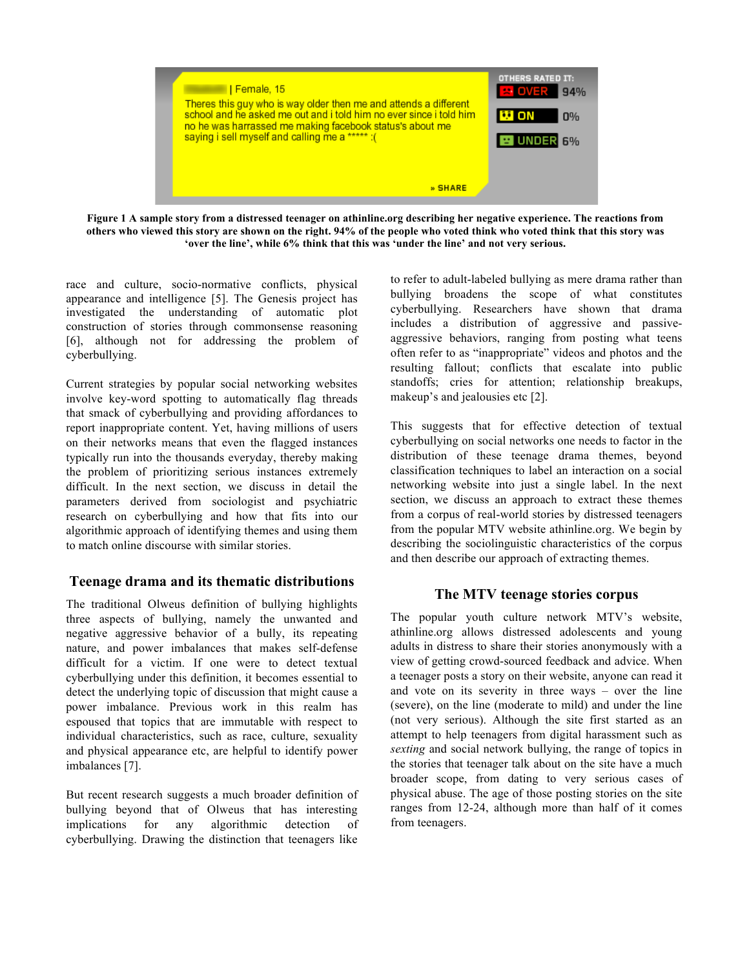

**Figure 1 A sample story from a distressed teenager on athinline.org describing her negative experience. The reactions from others who viewed this story are shown on the right. 94% of the people who voted think who voted think that this story was 'over the line', while 6% think that this was 'under the line' and not very serious.** 

race and culture, socio-normative conflicts, physical appearance and intelligence [5]. The Genesis project has investigated the understanding of automatic plot construction of stories through commonsense reasoning [6], although not for addressing the problem of cyberbullying.

Current strategies by popular social networking websites involve key-word spotting to automatically flag threads that smack of cyberbullying and providing affordances to report inappropriate content. Yet, having millions of users on their networks means that even the flagged instances typically run into the thousands everyday, thereby making the problem of prioritizing serious instances extremely difficult. In the next section, we discuss in detail the parameters derived from sociologist and psychiatric research on cyberbullying and how that fits into our algorithmic approach of identifying themes and using them to match online discourse with similar stories.

# **Teenage drama and its thematic distributions**

The traditional Olweus definition of bullying highlights three aspects of bullying, namely the unwanted and negative aggressive behavior of a bully, its repeating nature, and power imbalances that makes self-defense difficult for a victim. If one were to detect textual cyberbullying under this definition, it becomes essential to detect the underlying topic of discussion that might cause a power imbalance. Previous work in this realm has espoused that topics that are immutable with respect to individual characteristics, such as race, culture, sexuality and physical appearance etc, are helpful to identify power imbalances [7].

But recent research suggests a much broader definition of bullying beyond that of Olweus that has interesting implications for any algorithmic detection of cyberbullying. Drawing the distinction that teenagers like

to refer to adult-labeled bullying as mere drama rather than bullying broadens the scope of what constitutes cyberbullying. Researchers have shown that drama includes a distribution of aggressive and passiveaggressive behaviors, ranging from posting what teens often refer to as "inappropriate" videos and photos and the resulting fallout; conflicts that escalate into public standoffs; cries for attention; relationship breakups, makeup's and jealousies etc [2].

This suggests that for effective detection of textual cyberbullying on social networks one needs to factor in the distribution of these teenage drama themes, beyond classification techniques to label an interaction on a social networking website into just a single label. In the next section, we discuss an approach to extract these themes from a corpus of real-world stories by distressed teenagers from the popular MTV website athinline.org. We begin by describing the sociolinguistic characteristics of the corpus and then describe our approach of extracting themes.

# **The MTV teenage stories corpus**

The popular youth culture network MTV's website, athinline.org allows distressed adolescents and young adults in distress to share their stories anonymously with a view of getting crowd-sourced feedback and advice. When a teenager posts a story on their website, anyone can read it and vote on its severity in three ways – over the line (severe), on the line (moderate to mild) and under the line (not very serious). Although the site first started as an attempt to help teenagers from digital harassment such as *sexting* and social network bullying, the range of topics in the stories that teenager talk about on the site have a much broader scope, from dating to very serious cases of physical abuse. The age of those posting stories on the site ranges from 12-24, although more than half of it comes from teenagers.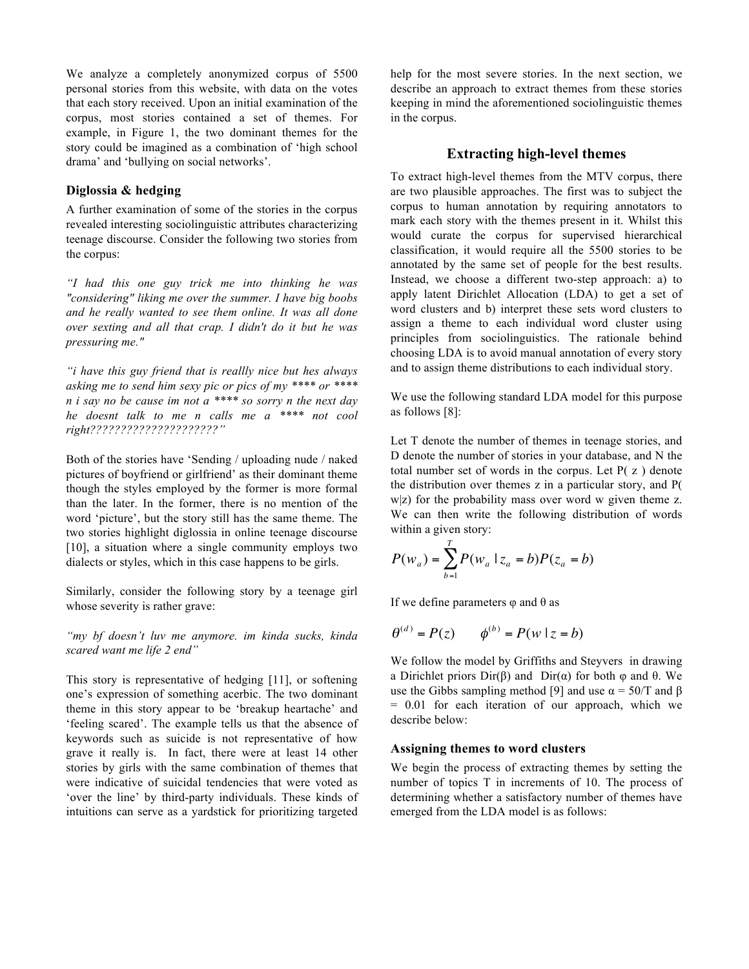We analyze a completely anonymized corpus of 5500 personal stories from this website, with data on the votes that each story received. Upon an initial examination of the corpus, most stories contained a set of themes. For example, in Figure 1, the two dominant themes for the story could be imagined as a combination of 'high school drama' and 'bullying on social networks'.

# **Diglossia & hedging**

A further examination of some of the stories in the corpus revealed interesting sociolinguistic attributes characterizing teenage discourse. Consider the following two stories from the corpus:

*"I had this one guy trick me into thinking he was "considering" liking me over the summer. I have big boobs and he really wanted to see them online. It was all done over sexting and all that crap. I didn't do it but he was pressuring me."*

*"i have this guy friend that is reallly nice but hes always asking me to send him sexy pic or pics of my \*\*\*\* or \*\*\*\* n i say no be cause im not a \*\*\*\* so sorry n the next day he doesnt talk to me n calls me a \*\*\*\* not cool right?????????????????????"*

Both of the stories have 'Sending / uploading nude / naked pictures of boyfriend or girlfriend' as their dominant theme though the styles employed by the former is more formal than the later. In the former, there is no mention of the word 'picture', but the story still has the same theme. The two stories highlight diglossia in online teenage discourse [10], a situation where a single community employs two dialects or styles, which in this case happens to be girls.

Similarly, consider the following story by a teenage girl whose severity is rather grave:

"my bf doesn't luv me anymore. im kinda sucks, kinda *scared want me life 2 end"*

This story is representative of hedging [11], or softening one's expression of something acerbic. The two dominant theme in this story appear to be 'breakup heartache' and 'feeling scared'. The example tells us that the absence of keywords such as suicide is not representative of how grave it really is. In fact, there were at least 14 other stories by girls with the same combination of themes that were indicative of suicidal tendencies that were voted as 'over the line' by third-party individuals. These kinds of intuitions can serve as a yardstick for prioritizing targeted help for the most severe stories. In the next section, we describe an approach to extract themes from these stories keeping in mind the aforementioned sociolinguistic themes in the corpus.

### **Extracting high-level themes**

To extract high-level themes from the MTV corpus, there are two plausible approaches. The first was to subject the corpus to human annotation by requiring annotators to mark each story with the themes present in it. Whilst this would curate the corpus for supervised hierarchical classification, it would require all the 5500 stories to be annotated by the same set of people for the best results. Instead, we choose a different two-step approach: a) to apply latent Dirichlet Allocation (LDA) to get a set of word clusters and b) interpret these sets word clusters to assign a theme to each individual word cluster using principles from sociolinguistics. The rationale behind choosing LDA is to avoid manual annotation of every story and to assign theme distributions to each individual story.

We use the following standard LDA model for this purpose as follows [8]:

Let T denote the number of themes in teenage stories, and D denote the number of stories in your database, and N the total number set of words in the corpus. Let P( z ) denote the distribution over themes z in a particular story, and P( w|z) for the probability mass over word w given theme z. We can then write the following distribution of words within a given story:

$$
P(w_a) = \sum_{b=1}^{T} P(w_a \mid z_a = b) P(z_a = b)
$$

If we define parameters  $φ$  and  $θ$  as

$$
\theta^{(d)} = P(z) \qquad \phi^{(b)} = P(w \mid z = b)
$$

We follow the model by Griffiths and Steyvers in drawing a Dirichlet priors  $Dir(\beta)$  and  $Dir(\alpha)$  for both  $\varphi$  and  $\theta$ . We use the Gibbs sampling method [9] and use  $\alpha = 50/T$  and  $\beta$ use the GIDDS sampling method [9] and use  $\alpha = 50/1$  and p<br>= 0.01 for each iteration of our approach, which we describe below:

#### **Assigning themes to word clusters**

We begin the process of extracting themes by setting the number of topics T in increments of 10. The process of determining whether a satisfactory number of themes have emerged from the LDA model is as follows: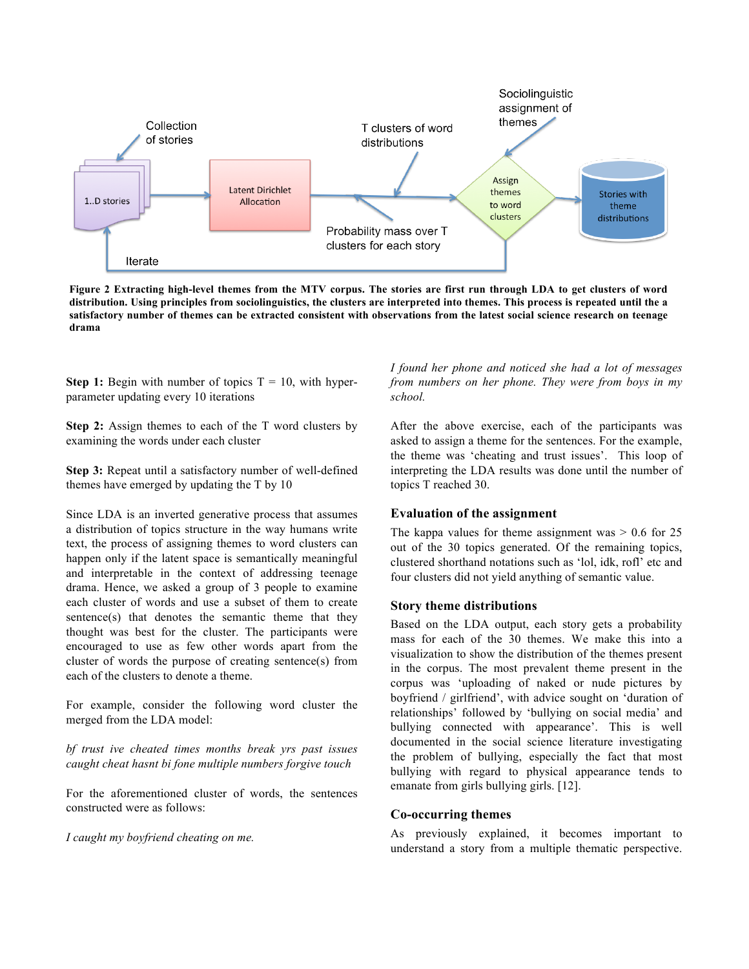

**Figure 2 Extracting high-level themes from the MTV corpus. The stories are first run through LDA to get clusters of word distribution. Using principles from sociolinguistics, the clusters are interpreted into themes. This process is repeated until the a satisfactory number of themes can be extracted consistent with observations from the latest social science research on teenage drama**

**Step 1:** Begin with number of topics  $T = 10$ , with hyperparameter updating every 10 iterations

**Step 2:** Assign themes to each of the T word clusters by examining the words under each cluster

**Step 3:** Repeat until a satisfactory number of well-defined themes have emerged by updating the T by 10

Since LDA is an inverted generative process that assumes a distribution of topics structure in the way humans write text, the process of assigning themes to word clusters can happen only if the latent space is semantically meaningful and interpretable in the context of addressing teenage drama. Hence, we asked a group of 3 people to examine each cluster of words and use a subset of them to create sentence(s) that denotes the semantic theme that they thought was best for the cluster. The participants were encouraged to use as few other words apart from the cluster of words the purpose of creating sentence(s) from each of the clusters to denote a theme.

For example, consider the following word cluster the merged from the LDA model:

*bf trust ive cheated times months break yrs past issues caught cheat hasnt bi fone multiple numbers forgive touch*

For the aforementioned cluster of words, the sentences constructed were as follows:

*I caught my boyfriend cheating on me.* 

*I found her phone and noticed she had a lot of messages from numbers on her phone. They were from boys in my school.* 

After the above exercise, each of the participants was asked to assign a theme for the sentences. For the example, the theme was 'cheating and trust issues'. This loop of interpreting the LDA results was done until the number of topics T reached 30.

#### **Evaluation of the assignment**

The kappa values for theme assignment was  $> 0.6$  for 25 out of the 30 topics generated. Of the remaining topics, clustered shorthand notations such as 'lol, idk, rofl' etc and four clusters did not yield anything of semantic value.

#### **Story theme distributions**

Based on the LDA output, each story gets a probability mass for each of the 30 themes. We make this into a visualization to show the distribution of the themes present in the corpus. The most prevalent theme present in the corpus was 'uploading of naked or nude pictures by boyfriend / girlfriend', with advice sought on 'duration of relationships' followed by 'bullying on social media' and bullying connected with appearance'. This is well documented in the social science literature investigating the problem of bullying, especially the fact that most bullying with regard to physical appearance tends to emanate from girls bullying girls. [12].

## **Co-occurring themes**

As previously explained, it becomes important to understand a story from a multiple thematic perspective.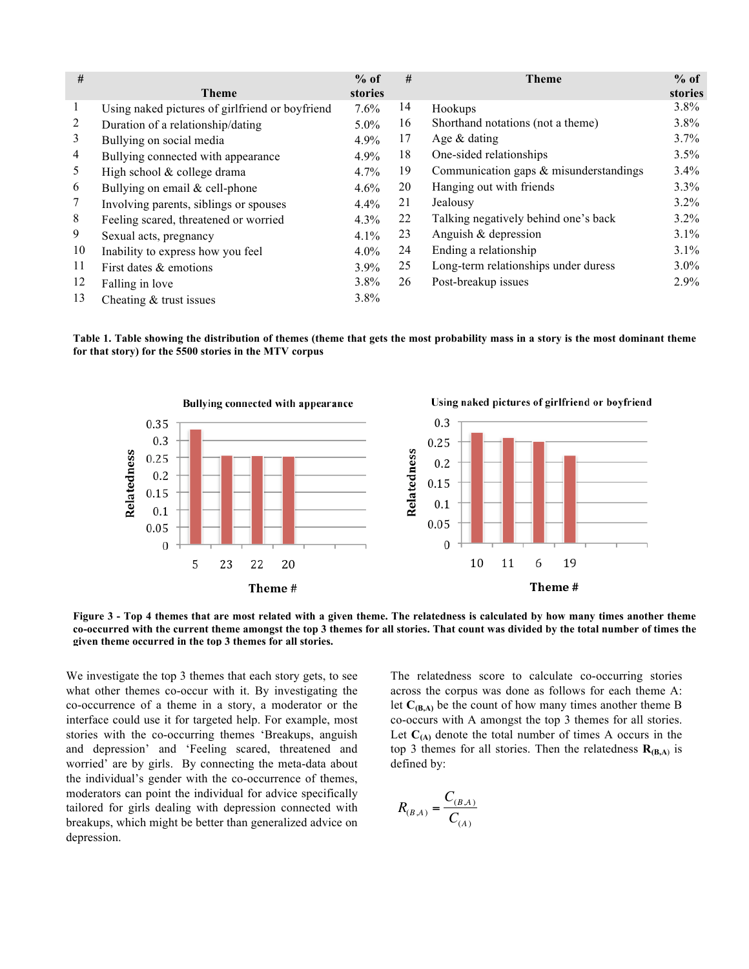| #              | <b>Theme</b>                                    | $%$ of<br>stories | #  | <b>Theme</b>                             | $%$ of<br>stories |
|----------------|-------------------------------------------------|-------------------|----|------------------------------------------|-------------------|
| $\mathbf{1}$   | Using naked pictures of girlfriend or boyfriend | 7.6%              | 14 | Hookups                                  | $3.8\%$           |
| 2              | Duration of a relationship/dating               | $5.0\%$           | 16 | Shorthand notations (not a theme)        | $3.8\%$           |
| 3              | Bullying on social media                        | 4.9%              | 17 | Age $&$ dating                           | $3.7\%$           |
| $\overline{4}$ | Bullying connected with appearance              | 4.9%              | 18 | One-sided relationships                  | $3.5\%$           |
| 5              | High school & college drama                     | $4.7\%$           | 19 | Communication gaps $&$ misunderstandings | $3.4\%$           |
| 6              | Bullying on email & cell-phone                  | 4.6%              | 20 | Hanging out with friends                 | $3.3\%$           |
| $\tau$         | Involving parents, siblings or spouses          | 4.4%              | 21 | Jealousy                                 | $3.2\%$           |
| 8              | Feeling scared, threatened or worried           | $4.3\%$           | 22 | Talking negatively behind one's back     | $3.2\%$           |
| 9              | Sexual acts, pregnancy                          | $4.1\%$           | 23 | Anguish & depression                     | $3.1\%$           |
| 10             | Inability to express how you feel               | $4.0\%$           | 24 | Ending a relationship                    | $3.1\%$           |
| 11             | First dates & emotions                          | 3.9%              | 25 | Long-term relationships under duress     | $3.0\%$           |
| 12             | Falling in love                                 | $3.8\%$           | 26 | Post-breakup issues                      | $2.9\%$           |
| 13             | Cheating $&$ trust issues                       | 3.8%              |    |                                          |                   |

**Table 1. Table showing the distribution of themes (theme that gets the most probability mass in a story is the most dominant theme for that story) for the 5500 stories in the MTV corpus**



**Figure 3 - Top 4 themes that are most related with a given theme. The relatedness is calculated by how many times another theme co-occurred with the current theme amongst the top 3 themes for all stories. That count was divided by the total number of times the given theme occurred in the top 3 themes for all stories.** 

We investigate the top 3 themes that each story gets, to see what other themes co-occur with it. By investigating the co-occurrence of a theme in a story, a moderator or the interface could use it for targeted help. For example, most stories with the co-occurring themes 'Breakups, anguish and depression' and 'Feeling scared, threatened and worried' are by girls. By connecting the meta-data about the individual's gender with the co-occurrence of themes, moderators can point the individual for advice specifically tailored for girls dealing with depression connected with breakups, which might be better than generalized advice on depression.

The relatedness score to calculate co-occurring stories across the corpus was done as follows for each theme A: let  $C_{(B,A)}$  be the count of how many times another theme B co-occurs with A amongst the top 3 themes for all stories. Let  $C_{(A)}$  denote the total number of times A occurs in the top 3 themes for all stories. Then the relatedness  $\mathbf{R}_{(\mathbf{B},\mathbf{A})}$  is defined by:

$$
R_{(B,A)} = \frac{C_{(B,A)}}{C_{(A)}}
$$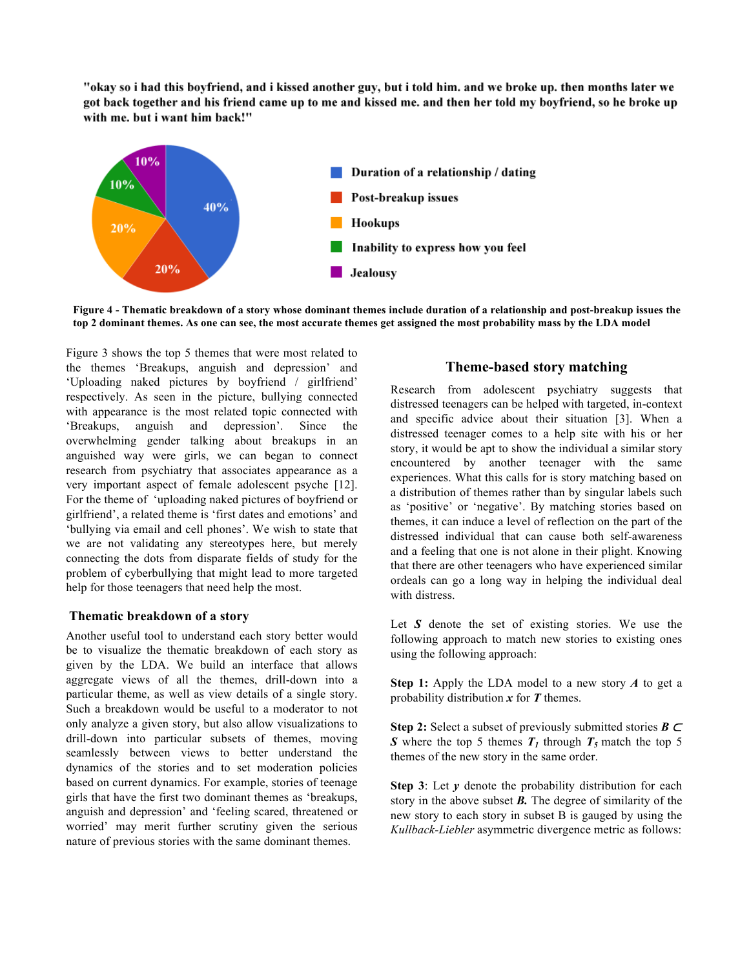"okay so i had this boyfriend, and i kissed another guy, but i told him. and we broke up. then months later we got back together and his friend came up to me and kissed me. and then her told my boyfriend, so he broke up with me, but i want him back!"



**Figure 4 - Thematic breakdown of a story whose dominant themes include duration of a relationship and post-breakup issues the top 2 dominant themes. As one can see, the most accurate themes get assigned the most probability mass by the LDA model**

Figure 3 shows the top 5 themes that were most related to the themes 'Breakups, anguish and depression' and 'Uploading naked pictures by boyfriend / girlfriend' respectively. As seen in the picture, bullying connected with appearance is the most related topic connected with 'Breakups, anguish and depression'. Since the overwhelming gender talking about breakups in an anguished way were girls, we can began to connect research from psychiatry that associates appearance as a very important aspect of female adolescent psyche [12]. For the theme of 'uploading naked pictures of boyfriend or girlfriend', a related theme is 'first dates and emotions' and 'bullying via email and cell phones'. We wish to state that we are not validating any stereotypes here, but merely connecting the dots from disparate fields of study for the problem of cyberbullying that might lead to more targeted help for those teenagers that need help the most.

#### **Thematic breakdown of a story**

Another useful tool to understand each story better would be to visualize the thematic breakdown of each story as given by the LDA. We build an interface that allows aggregate views of all the themes, drill-down into a particular theme, as well as view details of a single story. Such a breakdown would be useful to a moderator to not only analyze a given story, but also allow visualizations to drill-down into particular subsets of themes, moving seamlessly between views to better understand the dynamics of the stories and to set moderation policies based on current dynamics. For example, stories of teenage girls that have the first two dominant themes as 'breakups, anguish and depression' and 'feeling scared, threatened or worried' may merit further scrutiny given the serious nature of previous stories with the same dominant themes.

#### **Theme-based story matching**

Research from adolescent psychiatry suggests that distressed teenagers can be helped with targeted, in-context and specific advice about their situation [3]. When a distressed teenager comes to a help site with his or her story, it would be apt to show the individual a similar story encountered by another teenager with the same experiences. What this calls for is story matching based on a distribution of themes rather than by singular labels such as 'positive' or 'negative'. By matching stories based on themes, it can induce a level of reflection on the part of the distressed individual that can cause both self-awareness and a feeling that one is not alone in their plight. Knowing that there are other teenagers who have experienced similar ordeals can go a long way in helping the individual deal with distress.

Let *S* denote the set of existing stories. We use the following approach to match new stories to existing ones using the following approach:

**Step 1:** Apply the LDA model to a new story *A* to get a probability distribution *x* for *T* themes.

**Step 2:** Select a subset of previously submitted stories *B* <sup>⊂</sup> *S* where the top 5 themes  $T_1$  through  $T_5$  match the top 5 themes of the new story in the same order.

**Step 3**: Let *y* denote the probability distribution for each story in the above subset *B.* The degree of similarity of the new story to each story in subset B is gauged by using the *Kullback-Liebler* asymmetric divergence metric as follows: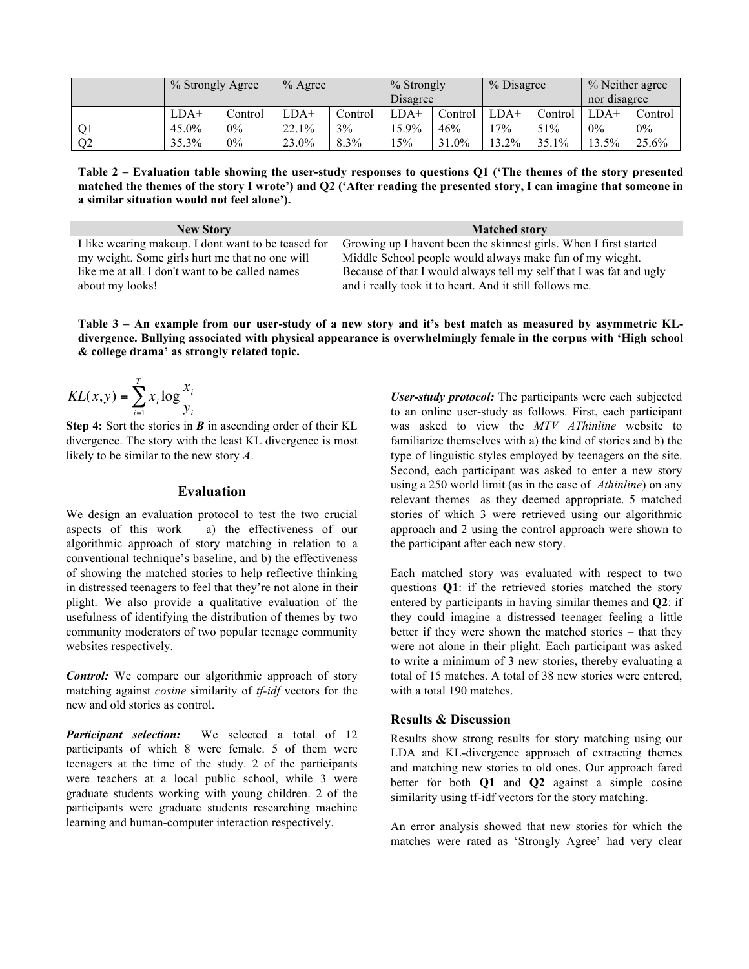|                | % Strongly Agree |         | $%$ Agree |         | % Strongly |         | % Disagree |          | % Neither agree |         |
|----------------|------------------|---------|-----------|---------|------------|---------|------------|----------|-----------------|---------|
|                |                  |         |           |         | Disagree   |         |            |          | nor disagree    |         |
|                | $LDA+$           | Control | $DA+$     | Control | $LDA+$     | Control | $LDA+$     | Control  | $LDA+$          | Control |
|                | 45.0%            | $0\%$   | 22.1%     | 3%      | $5.9\%$    | 46%     | $.7\%$     | 51%      | $0\%$           | $0\%$   |
| Q <sub>2</sub> | 35.3%            | $0\%$   | 23.0%     | 8.3%    | $5\%$      | 31.0%   | $13.2\%$   | $35.1\%$ | 13.5%           | 25.6%   |

**Table 2 – Evaluation table showing the user-study responses to questions Q1 ('The themes of the story presented matched the themes of the story I wrote') and Q2 ('After reading the presented story, I can imagine that someone in a similar situation would not feel alone').**

| <b>New Story</b>                                    | <b>Matched story</b>                                                |
|-----------------------------------------------------|---------------------------------------------------------------------|
| I like wearing makeup. I dont want to be teased for | Growing up I havent been the skinnest girls. When I first started   |
| my weight. Some girls hurt me that no one will      | Middle School people would always make fun of my wieght.            |
| like me at all. I don't want to be called names     | Because of that I would always tell my self that I was fat and ugly |
| about my looks!                                     | and i really took it to heart. And it still follows me.             |

**Table 3 – An example from our user-study of a new story and it's best match as measured by asymmetric KLdivergence. Bullying associated with physical appearance is overwhelmingly female in the corpus with 'High school & college drama' as strongly related topic.**

$$
KL(x, y) = \sum_{i=1}^{T} x_i \log \frac{x_i}{y_i}
$$

**Step 4:** Sort the stories in *B* in ascending order of their KL divergence. The story with the least KL divergence is most likely to be similar to the new story *A*.

# **Evaluation**

We design an evaluation protocol to test the two crucial aspects of this work – a) the effectiveness of our algorithmic approach of story matching in relation to a conventional technique's baseline, and b) the effectiveness of showing the matched stories to help reflective thinking in distressed teenagers to feel that they're not alone in their plight. We also provide a qualitative evaluation of the usefulness of identifying the distribution of themes by two community moderators of two popular teenage community websites respectively.

*Control:* We compare our algorithmic approach of story matching against *cosine* similarity of *tf-idf* vectors for the new and old stories as control.

*Participant selection:* We selected a total of 12 participants of which 8 were female. 5 of them were teenagers at the time of the study. 2 of the participants were teachers at a local public school, while 3 were graduate students working with young children. 2 of the participants were graduate students researching machine learning and human-computer interaction respectively.

*User-study protocol:* The participants were each subjected to an online user-study as follows. First, each participant was asked to view the *MTV AThinline* website to familiarize themselves with a) the kind of stories and b) the type of linguistic styles employed by teenagers on the site. Second, each participant was asked to enter a new story using a 250 world limit (as in the case of *Athinline*) on any relevant themes as they deemed appropriate. 5 matched stories of which 3 were retrieved using our algorithmic approach and 2 using the control approach were shown to the participant after each new story.

Each matched story was evaluated with respect to two questions **Q1**: if the retrieved stories matched the story entered by participants in having similar themes and **Q2**: if they could imagine a distressed teenager feeling a little better if they were shown the matched stories – that they were not alone in their plight. Each participant was asked to write a minimum of 3 new stories, thereby evaluating a total of 15 matches. A total of 38 new stories were entered, with a total 190 matches.

#### **Results & Discussion**

Results show strong results for story matching using our LDA and KL-divergence approach of extracting themes and matching new stories to old ones. Our approach fared better for both **Q1** and **Q2** against a simple cosine similarity using tf-idf vectors for the story matching.

An error analysis showed that new stories for which the matches were rated as 'Strongly Agree' had very clear